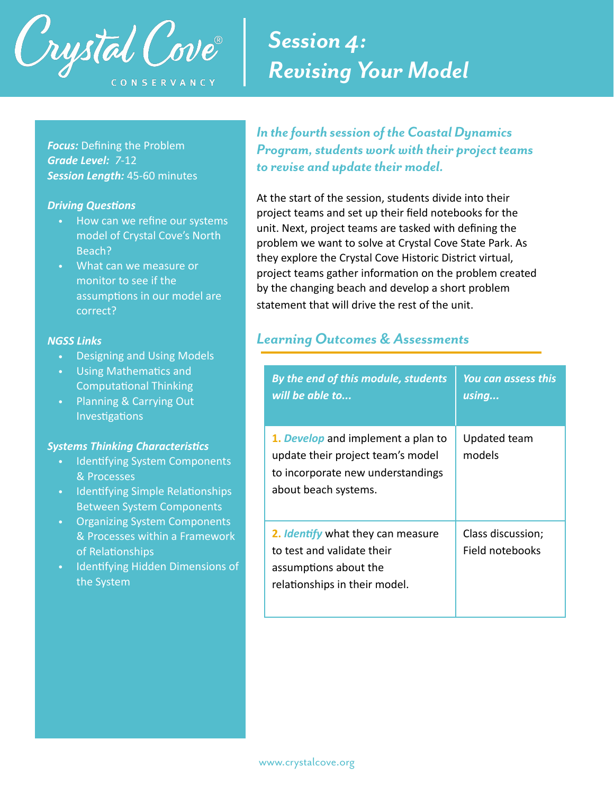

# *Session 4: Revising Your Model*

*Focus:* Defining the Problem *Grade Level: 7*-12 *Session Length:* 45-60 minutes

#### **Driving Questions**

- How can we refine our systems model of Crystal Cove's North Beach?
- What can we measure or monitor to see if the assumptions in our model are correct?

#### *NGSS Links*

- Designing and Using Models
- Using Mathematics and Computational Thinking
- Planning & Carrying Out Investigations

#### **Systems Thinking Characteristics**

- Identifying System Components & Processes
- Identifying Simple Relationships Between System Components
- Organizing System Components & Processes within a Framework of Relationships
- Identifying Hidden Dimensions of the System

*In the fourth session of the Coastal Dynamics Program, students work with their project teams to revise and update their model.* 

At the start of the session, students divide into their project teams and set up their field notebooks for the unit. Next, project teams are tasked with defining the problem we want to solve at Crystal Cove State Park. As they explore the Crystal Cove Historic District virtual, project teams gather information on the problem created by the changing beach and develop a short problem statement that will drive the rest of the unit.

## *Learning Outcomes & Assessments*

| By the end of this module, students<br>will be able to                                                                               | <b>You can assess this</b><br>using  |
|--------------------------------------------------------------------------------------------------------------------------------------|--------------------------------------|
| 1. Develop and implement a plan to<br>update their project team's model<br>to incorporate new understandings<br>about beach systems. | Updated team<br>models               |
| 2. Identify what they can measure<br>to test and validate their<br>assumptions about the<br>relationships in their model.            | Class discussion;<br>Field notebooks |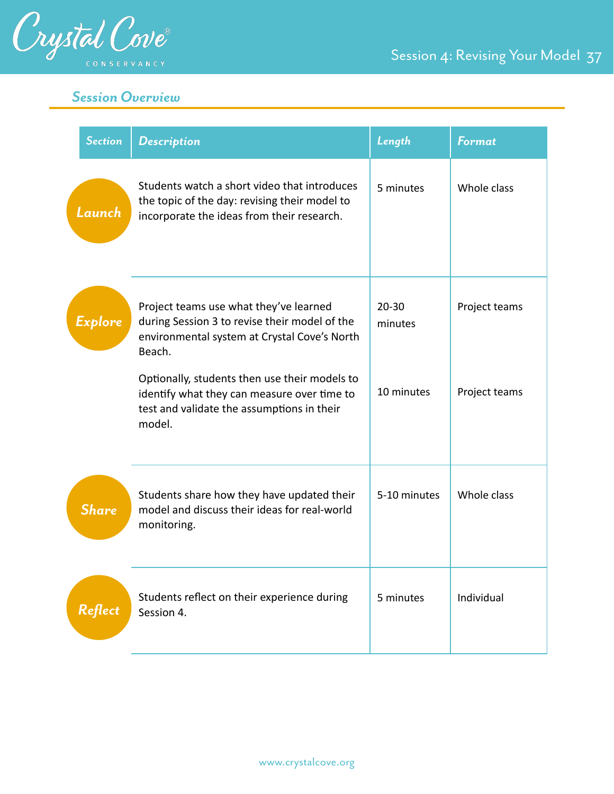

Session 4: Revising Your Model 37

## *Session Overview*

| <b>Section</b> | <b>Description</b>                                                                                                                                                                                                                                                                                        | Length                             | <b>Format</b>                  |
|----------------|-----------------------------------------------------------------------------------------------------------------------------------------------------------------------------------------------------------------------------------------------------------------------------------------------------------|------------------------------------|--------------------------------|
| Launch         | Students watch a short video that introduces<br>the topic of the day: revising their model to<br>incorporate the ideas from their research.                                                                                                                                                               | 5 minutes                          | Whole class                    |
| Explore        | Project teams use what they've learned<br>during Session 3 to revise their model of the<br>environmental system at Crystal Cove's North<br>Beach.<br>Optionally, students then use their models to<br>identify what they can measure over time to<br>test and validate the assumptions in their<br>model. | $20 - 30$<br>minutes<br>10 minutes | Project teams<br>Project teams |
|                |                                                                                                                                                                                                                                                                                                           |                                    |                                |
| <b>Share</b>   | Students share how they have updated their<br>model and discuss their ideas for real-world<br>monitoring.                                                                                                                                                                                                 | 5-10 minutes                       | Whole class                    |
| <b>Reflect</b> | Students reflect on their experience during<br>Session 4.                                                                                                                                                                                                                                                 | 5 minutes                          | Individual                     |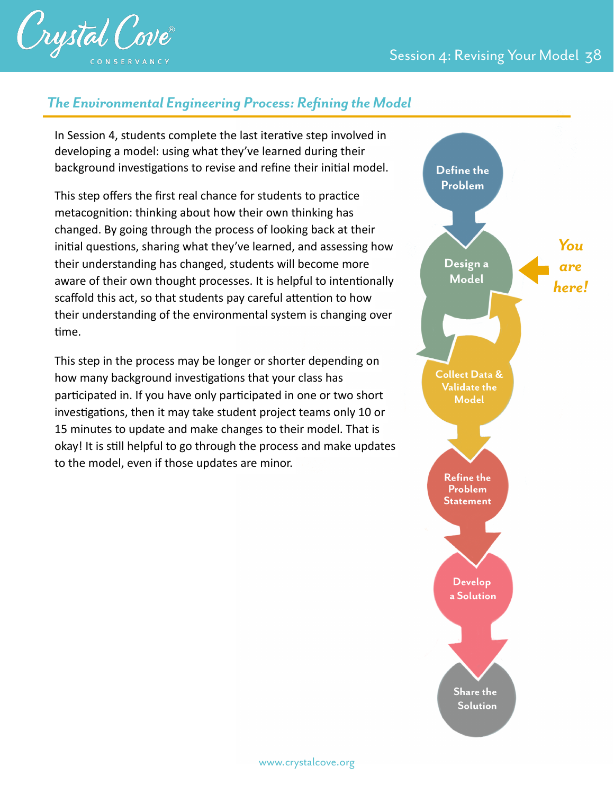

## *The Environmental Engineering Process: Refining the Model*

In Session 4, students complete the last iterative step involved in developing a model: using what they've learned during their background investigations to revise and refine their initial model.

This step offers the first real chance for students to practice metacognition: thinking about how their own thinking has changed. By going through the process of looking back at their initial questions, sharing what they've learned, and assessing how their understanding has changed, students will become more aware of their own thought processes. It is helpful to intentionally scaffold this act, so that students pay careful attention to how their understanding of the environmental system is changing over time.

This step in the process may be longer or shorter depending on how many background investigations that your class has participated in. If you have only participated in one or two short investigations, then it may take student project teams only 10 or 15 minutes to update and make changes to their model. That is okay! It is still helpful to go through the process and make updates to the model, even if those updates are minor.

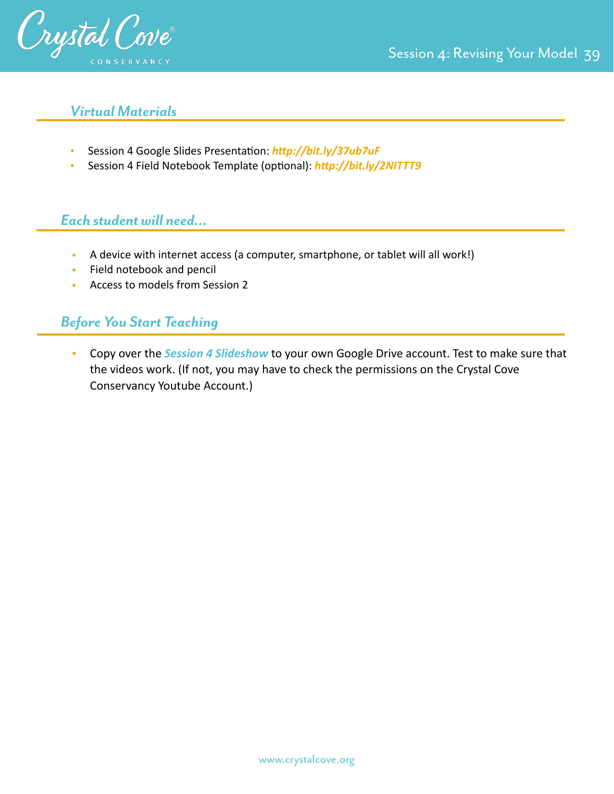

## *Virtual Materials*

- Session 4 Google Slides Presentation: http://bit.ly/37ub7uF
- Session 4 Field Notebook Template (optional): *http://bit.ly/2NITTT9*

## *Each student will need…*

- A device with internet access (a computer, smartphone, or tablet will all work!)
- Field notebook and pencil
- Access to models from Session 2

## *Before You Start Teaching*

• Copy over the *Session 4 Slideshow* to your own Google Drive account. Test to make sure that the videos work. (If not, you may have to check the permissions on the Crystal Cove Conservancy Youtube Account.)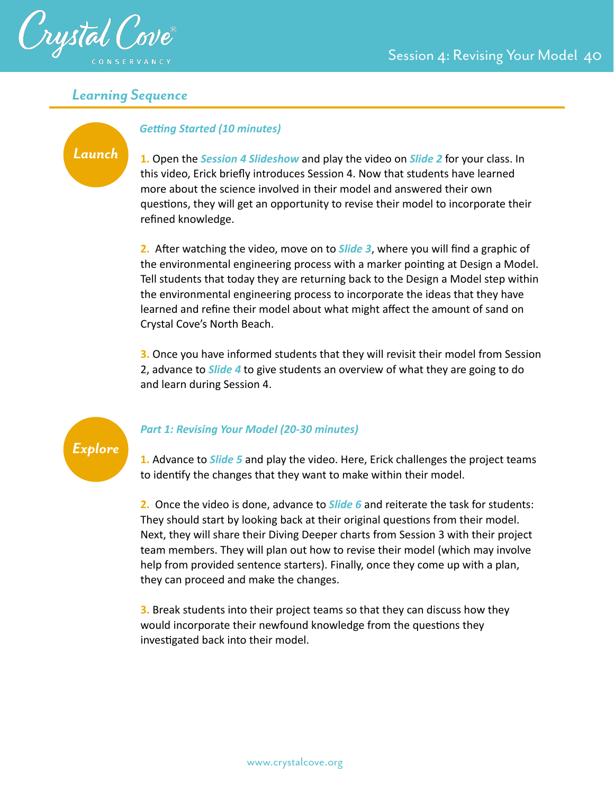

## *Learning Sequence*

## *Launch*

#### **Getting Started (10 minutes)**

**1.** Open the *Session 4 Slideshow* and play the video on *Slide 2* for your class. In this video, Erick briefly introduces Session 4. Now that students have learned more about the science involved in their model and answered their own questions, they will get an opportunity to revise their model to incorporate their refined knowledge.

**2.** After watching the video, move on to *Slide 3*, where you will find a graphic of the environmental engineering process with a marker pointing at Design a Model. Tell students that today they are returning back to the Design a Model step within the environmental engineering process to incorporate the ideas that they have learned and refine their model about what might affect the amount of sand on Crystal Cove's North Beach.

**3.** Once you have informed students that they will revisit their model from Session 2, advance to *Slide 4* to give students an overview of what they are going to do and learn during Session 4.



## *Part 1: Revising Your Model (20-30 minutes)*

**1.** Advance to *Slide 5* and play the video. Here, Erick challenges the project teams to identify the changes that they want to make within their model.

**2.** Once the video is done, advance to *Slide 6* and reiterate the task for students: They should start by looking back at their original questions from their model. Next, they will share their Diving Deeper charts from Session 3 with their project team members. They will plan out how to revise their model (which may involve help from provided sentence starters). Finally, once they come up with a plan, they can proceed and make the changes.

**3.** Break students into their project teams so that they can discuss how they would incorporate their newfound knowledge from the questions they investigated back into their model.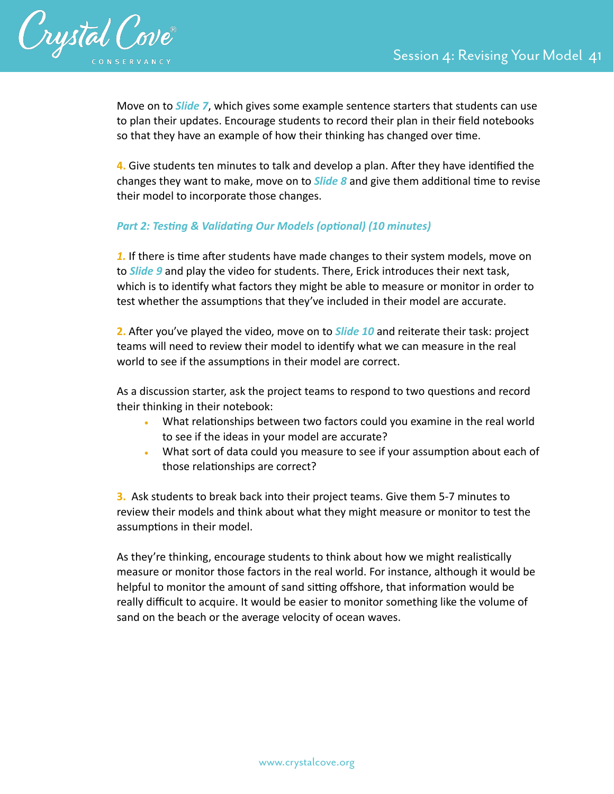

Move on to *Slide 7*, which gives some example sentence starters that students can use to plan their updates. Encourage students to record their plan in their field notebooks so that they have an example of how their thinking has changed over time.

**4.** Give students ten minutes to talk and develop a plan. After they have identified the changes they want to make, move on to *Slide 8* and give them additional time to revise their model to incorporate those changes.

## **Part 2: Testing & Validating Our Models (optional) (10 minutes)**

**1.** If there is time after students have made changes to their system models, move on to *Slide 9* and play the video for students. There, Erick introduces their next task, which is to identify what factors they might be able to measure or monitor in order to test whether the assumptions that they've included in their model are accurate.

**2.** After you've played the video, move on to *Slide 10* and reiterate their task: project teams will need to review their model to identify what we can measure in the real world to see if the assumptions in their model are correct.

As a discussion starter, ask the project teams to respond to two questions and record their thinking in their notebook:

- What relationships between two factors could you examine in the real world to see if the ideas in your model are accurate?
- What sort of data could you measure to see if your assumption about each of those relationships are correct?

**3.** Ask students to break back into their project teams. Give them 5-7 minutes to review their models and think about what they might measure or monitor to test the assumptions in their model.

As they're thinking, encourage students to think about how we might realistically measure or monitor those factors in the real world. For instance, although it would be helpful to monitor the amount of sand sitting offshore, that information would be really difficult to acquire. It would be easier to monitor something like the volume of sand on the beach or the average velocity of ocean waves.